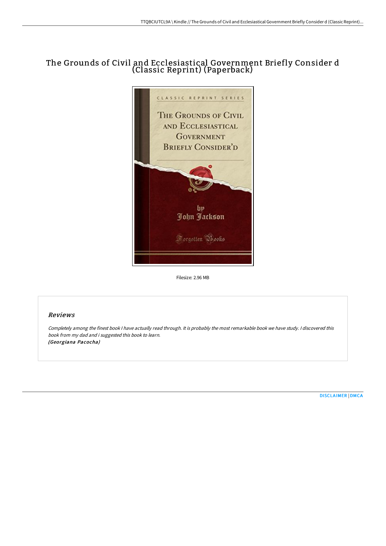## The Grounds of Civil and Ecclesiastical Government Briefly Consider d (Classic Reprint) (Paperback)



Filesize: 2.96 MB

## Reviews

Completely among the finest book <sup>I</sup> have actually read through. It is probably the most remarkable book we have study. <sup>I</sup> discovered this book from my dad and i suggested this book to learn. (Georgiana Pacocha)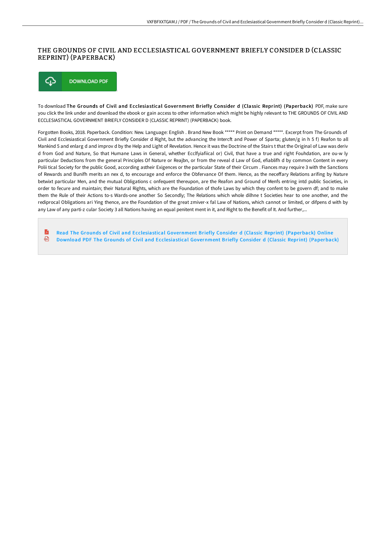## THE GROUNDS OF CIVIL AND ECCLESIASTICAL GOVERNMENT BRIEFLY CONSIDER D (CLASSIC REPRINT) (PAPERBACK)



To download The Grounds of Civil and Ecclesiastical Government Briefly Consider d (Classic Reprint) (Paperback) PDF, make sure you click the link under and download the ebook or gain access to other information which might be highly relevant to THE GROUNDS OF CIVIL AND ECCLESIASTICAL GOVERNMENT BRIEFLY CONSIDER D (CLASSIC REPRINT) (PAPERBACK) book.

Forgotten Books, 2018. Paperback. Condition: New. Language: English . Brand New Book \*\*\*\*\* Print on Demand \*\*\*\*\*. Excerpt from The Grounds of Civil and Ecclesiastical Government Briefly Consider d Right, but the advancing the Intercft and Power of Sparta; gluten/g in h 5 f) Reafon to all Mankind 5 and enlarg d and improv d by the Help and Light of Revelation. Hence it was the Doctrine of the Stairs t that the Original of Law was deriv d from God and Nature, So that Humane Laws in General, whether Ecclfyiafiical or) Civil, that have a true and right Fouhdation, are ou-w ly particular Deductions from the general Principles Of Nature or Reajbn, or from the reveal d Law of God, efiablifh d by common Content in every Polii tical Society for the public Good, according astheir Exigences or the particular State of their Circum . Fiances may require 3 with the Sanctions of Rewards and Bunifh merits an nex d, to encourage and enforce the Obfervance Of them. Hence, as the neceffary Relations arifing by Nature betwixt particular Men, and the mutual Obligations c onfequent thereupon, are the Reafon and Ground of Menfs entring intd public Societies, in order to fecure and maintain; their Natural Rights, which are the Foundation of thofe Laws by which they confent to be govern df; and to make them the Rule of their Actions to-s Wards-one another So Secondly; The Relations which whole dilhne t Societies hear to one another, and the rediprocal Obligations ari Ying thence, are the Foundation of the great zmiver-x fal Law of Nations, which cannot or limited, or difpens d with by any Law of any parti-z cular Society 3 all Nations having an equal penitent ment in it, and Right to the Benefit of It. And further,...

R Read The Grounds of Civil and [Ecclesiastical](http://albedo.media/the-grounds-of-civil-and-ecclesiastical-governme.html) Government Briefly Consider d (Classic Reprint) (Paperback) Online ଈ Download PDF The Grounds of Civil and [Ecclesiastical](http://albedo.media/the-grounds-of-civil-and-ecclesiastical-governme.html) Government Briefly Consider d (Classic Reprint) (Paperback)